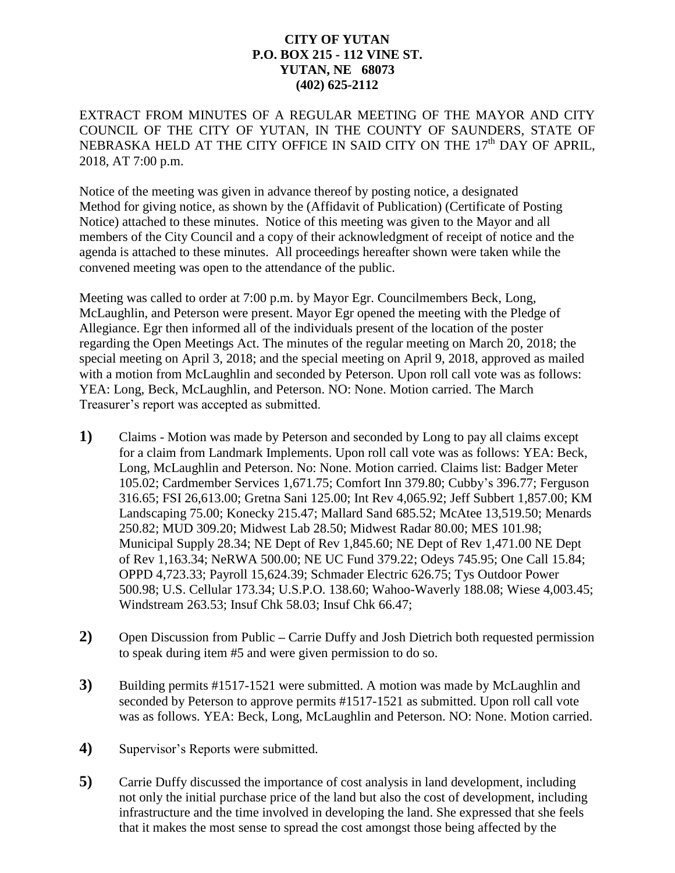## **CITY OF YUTAN P.O. BOX 215 - 112 VINE ST. YUTAN, NE 68073 (402) 625-2112**

EXTRACT FROM MINUTES OF A REGULAR MEETING OF THE MAYOR AND CITY COUNCIL OF THE CITY OF YUTAN, IN THE COUNTY OF SAUNDERS, STATE OF NEBRASKA HELD AT THE CITY OFFICE IN SAID CITY ON THE 17<sup>th</sup> DAY OF APRIL, 2018, AT 7:00 p.m.

Notice of the meeting was given in advance thereof by posting notice, a designated Method for giving notice, as shown by the (Affidavit of Publication) (Certificate of Posting Notice) attached to these minutes. Notice of this meeting was given to the Mayor and all members of the City Council and a copy of their acknowledgment of receipt of notice and the agenda is attached to these minutes. All proceedings hereafter shown were taken while the convened meeting was open to the attendance of the public.

Meeting was called to order at 7:00 p.m. by Mayor Egr. Councilmembers Beck, Long, McLaughlin, and Peterson were present. Mayor Egr opened the meeting with the Pledge of Allegiance. Egr then informed all of the individuals present of the location of the poster regarding the Open Meetings Act. The minutes of the regular meeting on March 20, 2018; the special meeting on April 3, 2018; and the special meeting on April 9, 2018, approved as mailed with a motion from McLaughlin and seconded by Peterson. Upon roll call vote was as follows: YEA: Long, Beck, McLaughlin, and Peterson. NO: None. Motion carried. The March Treasurer's report was accepted as submitted.

- **1)** Claims Motion was made by Peterson and seconded by Long to pay all claims except for a claim from Landmark Implements. Upon roll call vote was as follows: YEA: Beck, Long, McLaughlin and Peterson. No: None. Motion carried. Claims list: Badger Meter 105.02; Cardmember Services 1,671.75; Comfort Inn 379.80; Cubby's 396.77; Ferguson 316.65; FSI 26,613.00; Gretna Sani 125.00; Int Rev 4,065.92; Jeff Subbert 1,857.00; KM Landscaping 75.00; Konecky 215.47; Mallard Sand 685.52; McAtee 13,519.50; Menards 250.82; MUD 309.20; Midwest Lab 28.50; Midwest Radar 80.00; MES 101.98; Municipal Supply 28.34; NE Dept of Rev 1,845.60; NE Dept of Rev 1,471.00 NE Dept of Rev 1,163.34; NeRWA 500.00; NE UC Fund 379.22; Odeys 745.95; One Call 15.84; OPPD 4,723.33; Payroll 15,624.39; Schmader Electric 626.75; Tys Outdoor Power 500.98; U.S. Cellular 173.34; U.S.P.O. 138.60; Wahoo-Waverly 188.08; Wiese 4,003.45; Windstream 263.53; Insuf Chk 58.03; Insuf Chk 66.47;
- **2)** Open Discussion from Public **–** Carrie Duffy and Josh Dietrich both requested permission to speak during item #5 and were given permission to do so.
- **3)** Building permits #1517-1521 were submitted. A motion was made by McLaughlin and seconded by Peterson to approve permits #1517-1521 as submitted. Upon roll call vote was as follows. YEA: Beck, Long, McLaughlin and Peterson. NO: None. Motion carried.
- **4)** Supervisor's Reports were submitted.
- **5)** Carrie Duffy discussed the importance of cost analysis in land development, including not only the initial purchase price of the land but also the cost of development, including infrastructure and the time involved in developing the land. She expressed that she feels that it makes the most sense to spread the cost amongst those being affected by the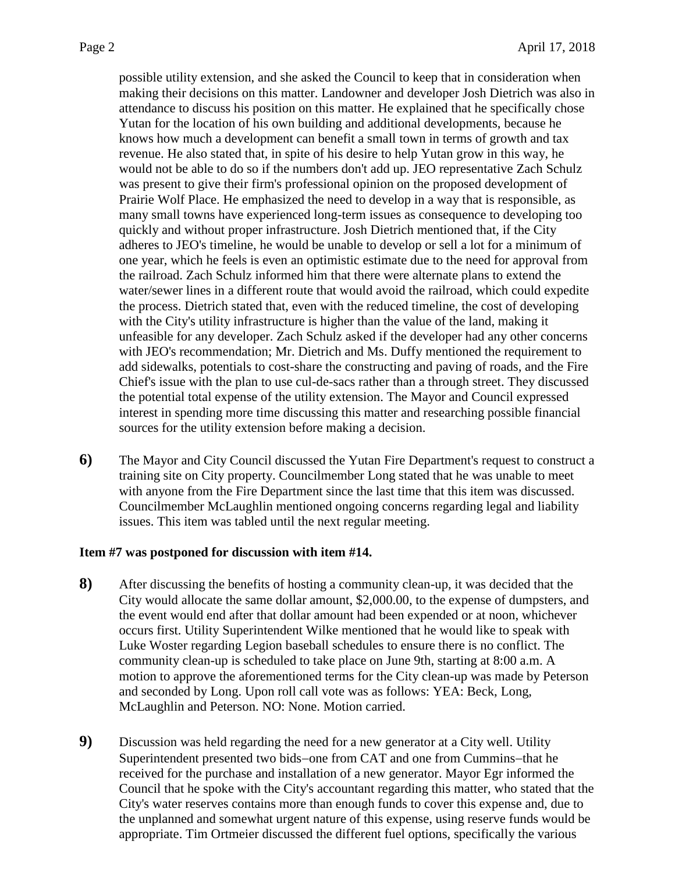possible utility extension, and she asked the Council to keep that in consideration when making their decisions on this matter. Landowner and developer Josh Dietrich was also in attendance to discuss his position on this matter. He explained that he specifically chose Yutan for the location of his own building and additional developments, because he knows how much a development can benefit a small town in terms of growth and tax revenue. He also stated that, in spite of his desire to help Yutan grow in this way, he would not be able to do so if the numbers don't add up. JEO representative Zach Schulz was present to give their firm's professional opinion on the proposed development of Prairie Wolf Place. He emphasized the need to develop in a way that is responsible, as many small towns have experienced long-term issues as consequence to developing too quickly and without proper infrastructure. Josh Dietrich mentioned that, if the City adheres to JEO's timeline, he would be unable to develop or sell a lot for a minimum of one year, which he feels is even an optimistic estimate due to the need for approval from the railroad. Zach Schulz informed him that there were alternate plans to extend the water/sewer lines in a different route that would avoid the railroad, which could expedite the process. Dietrich stated that, even with the reduced timeline, the cost of developing with the City's utility infrastructure is higher than the value of the land, making it unfeasible for any developer. Zach Schulz asked if the developer had any other concerns with JEO's recommendation; Mr. Dietrich and Ms. Duffy mentioned the requirement to add sidewalks, potentials to cost-share the constructing and paving of roads, and the Fire Chief's issue with the plan to use cul-de-sacs rather than a through street. They discussed the potential total expense of the utility extension. The Mayor and Council expressed interest in spending more time discussing this matter and researching possible financial sources for the utility extension before making a decision.

**6)** The Mayor and City Council discussed the Yutan Fire Department's request to construct a training site on City property. Councilmember Long stated that he was unable to meet with anyone from the Fire Department since the last time that this item was discussed. Councilmember McLaughlin mentioned ongoing concerns regarding legal and liability issues. This item was tabled until the next regular meeting.

## **Item #7 was postponed for discussion with item #14.**

- **8)** After discussing the benefits of hosting a community clean-up, it was decided that the City would allocate the same dollar amount, \$2,000.00, to the expense of dumpsters, and the event would end after that dollar amount had been expended or at noon, whichever occurs first. Utility Superintendent Wilke mentioned that he would like to speak with Luke Woster regarding Legion baseball schedules to ensure there is no conflict. The community clean-up is scheduled to take place on June 9th, starting at 8:00 a.m. A motion to approve the aforementioned terms for the City clean-up was made by Peterson and seconded by Long. Upon roll call vote was as follows: YEA: Beck, Long, McLaughlin and Peterson. NO: None. Motion carried.
- **9)** Discussion was held regarding the need for a new generator at a City well. Utility Superintendent presented two bids-one from CAT and one from Cummins-that he received for the purchase and installation of a new generator. Mayor Egr informed the Council that he spoke with the City's accountant regarding this matter, who stated that the City's water reserves contains more than enough funds to cover this expense and, due to the unplanned and somewhat urgent nature of this expense, using reserve funds would be appropriate. Tim Ortmeier discussed the different fuel options, specifically the various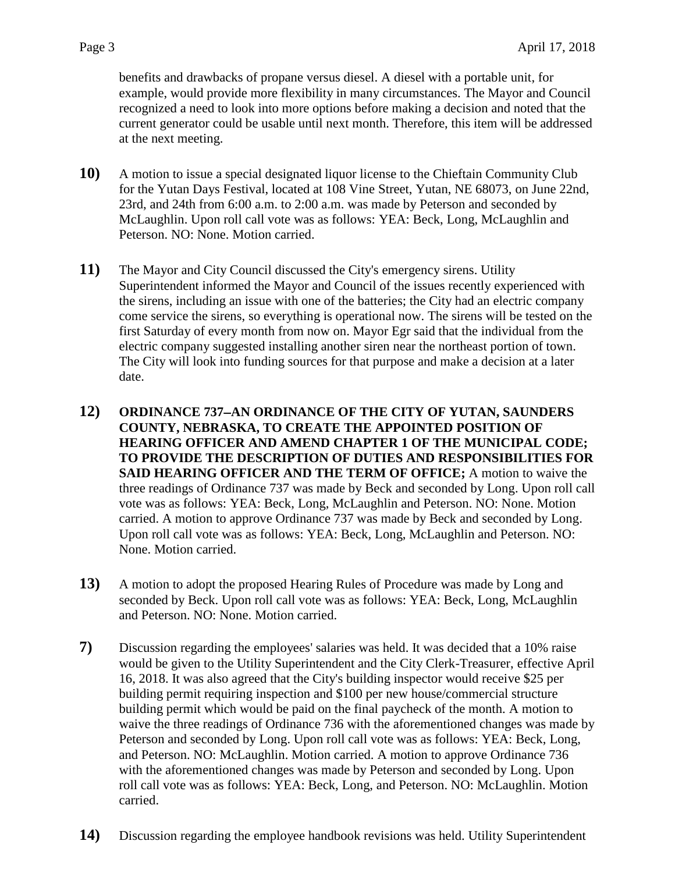benefits and drawbacks of propane versus diesel. A diesel with a portable unit, for example, would provide more flexibility in many circumstances. The Mayor and Council recognized a need to look into more options before making a decision and noted that the current generator could be usable until next month. Therefore, this item will be addressed at the next meeting.

- **10)** A motion to issue a special designated liquor license to the Chieftain Community Club for the Yutan Days Festival, located at 108 Vine Street, Yutan, NE 68073, on June 22nd, 23rd, and 24th from 6:00 a.m. to 2:00 a.m. was made by Peterson and seconded by McLaughlin. Upon roll call vote was as follows: YEA: Beck, Long, McLaughlin and Peterson. NO: None. Motion carried.
- **11)** The Mayor and City Council discussed the City's emergency sirens. Utility Superintendent informed the Mayor and Council of the issues recently experienced with the sirens, including an issue with one of the batteries; the City had an electric company come service the sirens, so everything is operational now. The sirens will be tested on the first Saturday of every month from now on. Mayor Egr said that the individual from the electric company suggested installing another siren near the northeast portion of town. The City will look into funding sources for that purpose and make a decision at a later date.
- **12) ORDINANCE 737AN ORDINANCE OF THE CITY OF YUTAN, SAUNDERS COUNTY, NEBRASKA, TO CREATE THE APPOINTED POSITION OF HEARING OFFICER AND AMEND CHAPTER 1 OF THE MUNICIPAL CODE; TO PROVIDE THE DESCRIPTION OF DUTIES AND RESPONSIBILITIES FOR SAID HEARING OFFICER AND THE TERM OF OFFICE;** A motion to waive the three readings of Ordinance 737 was made by Beck and seconded by Long. Upon roll call vote was as follows: YEA: Beck, Long, McLaughlin and Peterson. NO: None. Motion carried. A motion to approve Ordinance 737 was made by Beck and seconded by Long. Upon roll call vote was as follows: YEA: Beck, Long, McLaughlin and Peterson. NO: None. Motion carried.
- **13)** A motion to adopt the proposed Hearing Rules of Procedure was made by Long and seconded by Beck. Upon roll call vote was as follows: YEA: Beck, Long, McLaughlin and Peterson. NO: None. Motion carried.
- **7)** Discussion regarding the employees' salaries was held. It was decided that a 10% raise would be given to the Utility Superintendent and the City Clerk-Treasurer, effective April 16, 2018. It was also agreed that the City's building inspector would receive \$25 per building permit requiring inspection and \$100 per new house/commercial structure building permit which would be paid on the final paycheck of the month. A motion to waive the three readings of Ordinance 736 with the aforementioned changes was made by Peterson and seconded by Long. Upon roll call vote was as follows: YEA: Beck, Long, and Peterson. NO: McLaughlin. Motion carried. A motion to approve Ordinance 736 with the aforementioned changes was made by Peterson and seconded by Long. Upon roll call vote was as follows: YEA: Beck, Long, and Peterson. NO: McLaughlin. Motion carried.
- **14)** Discussion regarding the employee handbook revisions was held. Utility Superintendent